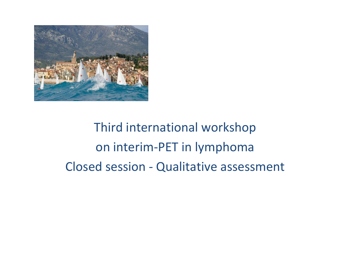

Third international workshop on interim-PET in lymphoma Closed session - Qualitative assessment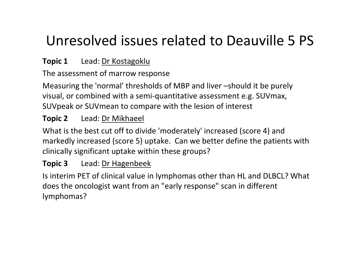# Unresolved issues related to Deauville 5 PS

### **Topic 1** Lead: Dr Kostagoklu

### The assessment of marrow response

Measuring the 'normal' thresholds of MBP and liver –should it be purely visual, or combined with a semi-quantitative assessment e.g. SUVmax, SUVpeak or SUVmean to compare with the lesion of interest

#### **Topic 2**Lead: Dr Mikhaeel

What is the best cut off to divide 'moderately' increased (score 4) and markedly increased (score 5) uptake. Can we better define the patients with clinically significant uptake within these groups?

#### **Topic 3**Lead: Dr Hagenbeek

Is interim PET of clinical value in lymphomas other than HL and DLBCL? What does the oncologist want from an "early response" scan in different lymphomas?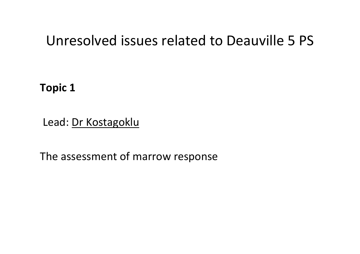## Unresolved issues related to Deauville 5 PS

**Topic 1** 

Lead: Dr Kostagoklu

The assessment of marrow response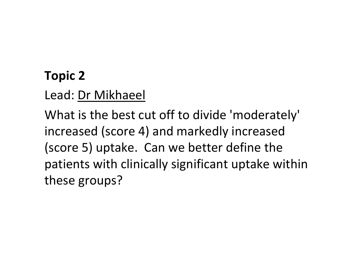## **Topic 2**

Lead: Dr Mikhaeel

What is the best cut off to divide 'moderately' increased (score 4) and markedly increased (score 5) uptake. Can we better define the patients with clinically significant uptake within these groups?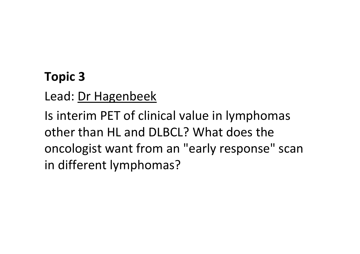## **Topic 3**

Lead: Dr Hagenbeek

Is interim PET of clinical value in lymphomas other than HL and DLBCL? What does the oncologist want from an "early response" scan in different lymphomas?